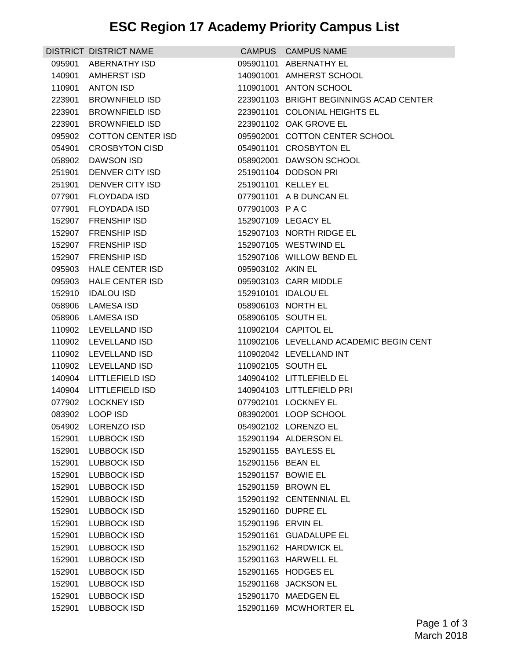## **ESC Region 17 Academy Priority Campus List**

|        | <b>DISTRICT DISTRICT NAME</b> |                    | CAMPUS CAMPUS NAME                      |
|--------|-------------------------------|--------------------|-----------------------------------------|
| 095901 | <b>ABERNATHY ISD</b>          |                    | 095901101 ABERNATHY EL                  |
| 140901 | <b>AMHERST ISD</b>            |                    | 140901001 AMHERST SCHOOL                |
| 110901 | <b>ANTON ISD</b>              |                    | 110901001 ANTON SCHOOL                  |
| 223901 | <b>BROWNFIELD ISD</b>         |                    | 223901103 BRIGHT BEGINNINGS ACAD CENTER |
| 223901 | <b>BROWNFIELD ISD</b>         |                    | 223901101 COLONIAL HEIGHTS EL           |
| 223901 | <b>BROWNFIELD ISD</b>         |                    | 223901102 OAK GROVE EL                  |
| 095902 | <b>COTTON CENTER ISD</b>      |                    | 095902001 COTTON CENTER SCHOOL          |
| 054901 | <b>CROSBYTON CISD</b>         |                    | 054901101 CROSBYTON EL                  |
| 058902 | DAWSON ISD                    |                    | 058902001 DAWSON SCHOOL                 |
| 251901 | DENVER CITY ISD               |                    | 251901104 DODSON PRI                    |
| 251901 | DENVER CITY ISD               |                    | 251901101 KELLEY EL                     |
| 077901 | <b>FLOYDADA ISD</b>           |                    | 077901101 A B DUNCAN EL                 |
| 077901 | <b>FLOYDADA ISD</b>           | 077901003 PAC      |                                         |
| 152907 | <b>FRENSHIP ISD</b>           |                    | 152907109 LEGACY EL                     |
| 152907 | <b>FRENSHIP ISD</b>           |                    | 152907103 NORTH RIDGE EL                |
| 152907 | <b>FRENSHIP ISD</b>           |                    | 152907105 WESTWIND EL                   |
| 152907 | <b>FRENSHIP ISD</b>           |                    | 152907106 WILLOW BEND EL                |
| 095903 | <b>HALE CENTER ISD</b>        | 095903102 AKIN EL  |                                         |
| 095903 | <b>HALE CENTER ISD</b>        |                    | 095903103 CARR MIDDLE                   |
| 152910 | <b>IDALOU ISD</b>             |                    | 152910101 IDALOU EL                     |
| 058906 | <b>LAMESA ISD</b>             | 058906103 NORTH EL |                                         |
|        | 058906 LAMESA ISD             | 058906105 SOUTH EL |                                         |
|        | 110902 LEVELLAND ISD          |                    | 110902104 CAPITOL EL                    |
|        | 110902 LEVELLAND ISD          |                    | 110902106 LEVELLAND ACADEMIC BEGIN CENT |
| 110902 | LEVELLAND ISD                 |                    | 110902042 LEVELLAND INT                 |
| 110902 | <b>LEVELLAND ISD</b>          |                    | 110902105 SOUTH EL                      |
| 140904 | <b>LITTLEFIELD ISD</b>        |                    | 140904102 LITTLEFIELD EL                |
|        | 140904 LITTLEFIELD ISD        |                    | 140904103 LITTLEFIELD PRI               |
|        | 077902 LOCKNEY ISD            |                    | 077902101 LOCKNEY EL                    |
|        | 083902 LOOP ISD               |                    | 083902001 LOOP SCHOOL                   |
|        | 054902 LORENZO ISD            |                    | 054902102 LORENZO EL                    |
| 152901 | <b>LUBBOCK ISD</b>            |                    | 152901194 ALDERSON EL                   |
| 152901 | <b>LUBBOCK ISD</b>            |                    | 152901155 BAYLESS EL                    |
| 152901 | <b>LUBBOCK ISD</b>            | 152901156 BEAN EL  |                                         |
| 152901 | LUBBOCK ISD                   | 152901157 BOWIE EL |                                         |
| 152901 | LUBBOCK ISD                   |                    | 152901159 BROWN EL                      |
| 152901 | <b>LUBBOCK ISD</b>            |                    | 152901192 CENTENNIAL EL                 |
| 152901 | <b>LUBBOCK ISD</b>            | 152901160 DUPRE EL |                                         |
| 152901 | <b>LUBBOCK ISD</b>            | 152901196 ERVIN EL |                                         |
| 152901 | LUBBOCK ISD                   |                    | 152901161 GUADALUPE EL                  |
| 152901 | <b>LUBBOCK ISD</b>            |                    | 152901162 HARDWICK EL                   |
| 152901 | <b>LUBBOCK ISD</b>            |                    | 152901163 HARWELL EL                    |
| 152901 | <b>LUBBOCK ISD</b>            |                    | 152901165 HODGES EL                     |
| 152901 | <b>LUBBOCK ISD</b>            |                    | 152901168 JACKSON EL                    |
| 152901 | <b>LUBBOCK ISD</b>            |                    | 152901170 MAEDGEN EL                    |
| 152901 | <b>LUBBOCK ISD</b>            |                    | 152901169 MCWHORTER EL                  |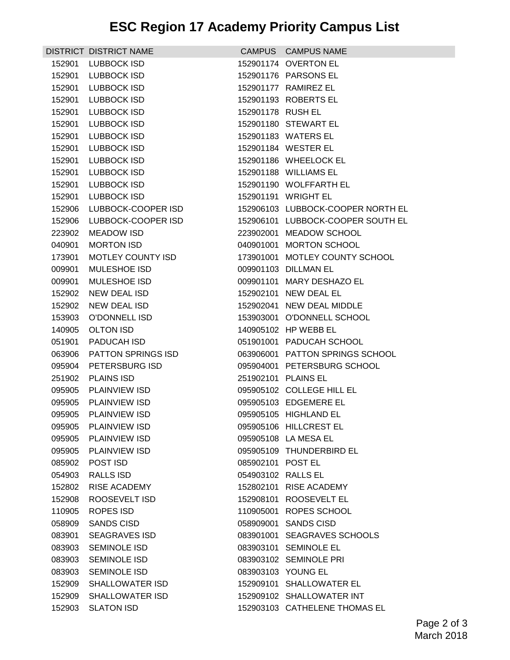|        | DISTRICT DISTRICT NAME    |                    | CAMPUS CAMPUS NAME                |
|--------|---------------------------|--------------------|-----------------------------------|
| 152901 | <b>LUBBOCK ISD</b>        |                    | 152901174 OVERTON EL              |
| 152901 | LUBBOCK ISD               |                    | 152901176 PARSONS EL              |
| 152901 | <b>LUBBOCK ISD</b>        |                    | 152901177 RAMIREZ EL              |
| 152901 | <b>LUBBOCK ISD</b>        |                    | 152901193 ROBERTS EL              |
| 152901 | LUBBOCK ISD               | 152901178 RUSH EL  |                                   |
| 152901 | <b>LUBBOCK ISD</b>        |                    | 152901180 STEWART EL              |
| 152901 | <b>LUBBOCK ISD</b>        |                    | 152901183 WATERS EL               |
| 152901 | LUBBOCK ISD               |                    | 152901184 WESTER EL               |
| 152901 | <b>LUBBOCK ISD</b>        |                    | 152901186 WHEELOCK EL             |
| 152901 | <b>LUBBOCK ISD</b>        |                    | 152901188 WILLIAMS EL             |
| 152901 | <b>LUBBOCK ISD</b>        |                    | 152901190 WOLFFARTH EL            |
| 152901 | <b>LUBBOCK ISD</b>        |                    | 152901191 WRIGHT EL               |
| 152906 | LUBBOCK-COOPER ISD        |                    | 152906103 LUBBOCK-COOPER NORTH EL |
| 152906 | LUBBOCK-COOPER ISD        |                    | 152906101 LUBBOCK-COOPER SOUTH EL |
| 223902 | <b>MEADOW ISD</b>         |                    | 223902001 MEADOW SCHOOL           |
| 040901 | <b>MORTON ISD</b>         |                    | 040901001 MORTON SCHOOL           |
| 173901 | MOTLEY COUNTY ISD         |                    | 173901001 MOTLEY COUNTY SCHOOL    |
| 009901 | <b>MULESHOE ISD</b>       |                    | 009901103 DILLMAN EL              |
| 009901 | <b>MULESHOE ISD</b>       |                    | 009901101 MARY DESHAZO EL         |
| 152902 | NEW DEAL ISD              |                    | 152902101 NEW DEAL EL             |
| 152902 | NEW DEAL ISD              |                    | 152902041 NEW DEAL MIDDLE         |
| 153903 | O'DONNELL ISD             |                    | 153903001 O'DONNELL SCHOOL        |
| 140905 | <b>OLTON ISD</b>          |                    | 140905102 HP WEBB EL              |
| 051901 | PADUCAH ISD               |                    | 051901001 PADUCAH SCHOOL          |
| 063906 | <b>PATTON SPRINGS ISD</b> |                    | 063906001 PATTON SPRINGS SCHOOL   |
| 095904 | PETERSBURG ISD            |                    | 095904001 PETERSBURG SCHOOL       |
| 251902 | <b>PLAINS ISD</b>         |                    | 251902101 PLAINS EL               |
| 095905 | <b>PLAINVIEW ISD</b>      |                    | 095905102 COLLEGE HILL EL         |
| 095905 | <b>PLAINVIEW ISD</b>      |                    | 095905103 EDGEMERE EL             |
|        | 095905 PLAINVIEW ISD      |                    | 095905105 HIGHLAND EL             |
| 095905 | PLAINVIEW ISD             |                    | 095905106 HILLCREST EL            |
| 095905 | PLAINVIEW ISD             |                    | 095905108 LA MESA EL              |
| 095905 | <b>PLAINVIEW ISD</b>      |                    | 095905109 THUNDERBIRD EL          |
| 085902 | POST ISD                  | 085902101 POST EL  |                                   |
| 054903 | <b>RALLS ISD</b>          | 054903102 RALLS EL |                                   |
| 152802 | RISE ACADEMY              |                    | 152802101 RISE ACADEMY            |
| 152908 | ROOSEVELT ISD             |                    | 152908101 ROOSEVELT EL            |
| 110905 | ROPES ISD                 |                    | 110905001 ROPES SCHOOL            |
| 058909 | <b>SANDS CISD</b>         |                    | 058909001 SANDS CISD              |
| 083901 | <b>SEAGRAVES ISD</b>      |                    | 083901001 SEAGRAVES SCHOOLS       |
| 083903 | <b>SEMINOLE ISD</b>       |                    | 083903101 SEMINOLE EL             |
| 083903 | <b>SEMINOLE ISD</b>       |                    | 083903102 SEMINOLE PRI            |
| 083903 | <b>SEMINOLE ISD</b>       |                    | 083903103 YOUNG EL                |
| 152909 | <b>SHALLOWATER ISD</b>    |                    | 152909101 SHALLOWATER EL          |
| 152909 | <b>SHALLOWATER ISD</b>    |                    | 152909102 SHALLOWATER INT         |
| 152903 | <b>SLATON ISD</b>         |                    | 152903103 CATHELENE THOMAS EL     |